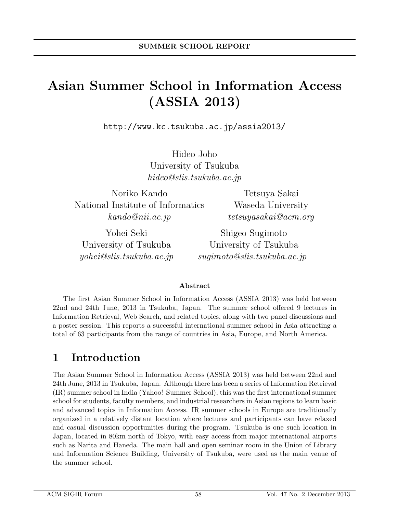# Asian Summer School in Information Access (ASSIA 2013)

http://www.kc.tsukuba.ac.jp/assia2013/

Hideo Joho University of Tsukuba hideo@slis.tsukuba.ac.jp

Noriko Kando National Institute of Informatics kando@nii.ac.jp

Yohei Seki University of Tsukuba yohei@slis.tsukuba.ac.jp

Tetsuya Sakai Waseda University tetsuyasakai@acm.org

Shigeo Sugimoto University of Tsukuba sugimoto@slis.tsukuba.ac.jp

#### Abstract

The first Asian Summer School in Information Access (ASSIA 2013) was held between 22nd and 24th June, 2013 in Tsukuba, Japan. The summer school offered 9 lectures in Information Retrieval, Web Search, and related topics, along with two panel discussions and a poster session. This reports a successful international summer school in Asia attracting a total of 63 participants from the range of countries in Asia, Europe, and North America.

### 1 Introduction

The Asian Summer School in Information Access (ASSIA 2013) was held between 22nd and 24th June, 2013 in Tsukuba, Japan. Although there has been a series of Information Retrieval (IR) summer school in India (Yahoo! Summer School), this was the first international summer school for students, faculty members, and industrial researchers in Asian regions to learn basic and advanced topics in Information Access. IR summer schools in Europe are traditionally organized in a relatively distant location where lectures and participants can have relaxed and casual discussion opportunities during the program. Tsukuba is one such location in Japan, located in 80km north of Tokyo, with easy access from major international airports such as Narita and Haneda. The main hall and open seminar room in the Union of Library and Information Science Building, University of Tsukuba, were used as the main venue of the summer school.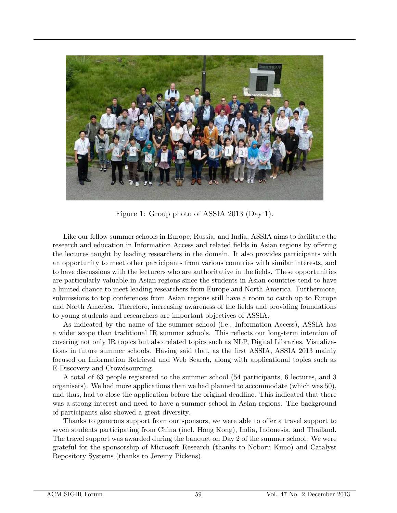

Figure 1: Group photo of ASSIA 2013 (Day 1).

Like our fellow summer schools in Europe, Russia, and India, ASSIA aims to facilitate the research and education in Information Access and related fields in Asian regions by offering the lectures taught by leading researchers in the domain. It also provides participants with an opportunity to meet other participants from various countries with similar interests, and to have discussions with the lecturers who are authoritative in the fields. These opportunities are particularly valuable in Asian regions since the students in Asian countries tend to have a limited chance to meet leading researchers from Europe and North America. Furthermore, submissions to top conferences from Asian regions still have a room to catch up to Europe and North America. Therefore, increasing awareness of the fields and providing foundations to young students and researchers are important objectives of ASSIA.

As indicated by the name of the summer school (i.e., Information Access), ASSIA has a wider scope than traditional IR summer schools. This reflects our long-term intention of covering not only IR topics but also related topics such as NLP, Digital Libraries, Visualizations in future summer schools. Having said that, as the first ASSIA, ASSIA 2013 mainly focused on Information Retrieval and Web Search, along with applicational topics such as E-Discovery and Crowdsourcing.

A total of 63 people registered to the summer school (54 participants, 6 lectures, and 3 organisers). We had more applications than we had planned to accommodate (which was 50), and thus, had to close the application before the original deadline. This indicated that there was a strong interest and need to have a summer school in Asian regions. The background of participants also showed a great diversity.

Thanks to generous support from our sponsors, we were able to offer a travel support to seven students participating from China (incl. Hong Kong), India, Indonesia, and Thailand. The travel support was awarded during the banquet on Day 2 of the summer school. We were grateful for the sponsorship of Microsoft Research (thanks to Noboru Kuno) and Catalyst Repository Systems (thanks to Jeremy Pickens).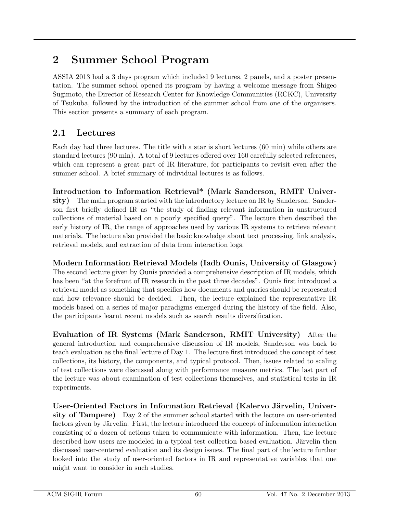### 2 Summer School Program

ASSIA 2013 had a 3 days program which included 9 lectures, 2 panels, and a poster presentation. The summer school opened its program by having a welcome message from Shigeo Sugimoto, the Director of Research Center for Knowledge Communities (RCKC), University of Tsukuba, followed by the introduction of the summer school from one of the organisers. This section presents a summary of each program.

### 2.1 Lectures

Each day had three lectures. The title with a star is short lectures (60 min) while others are standard lectures (90 min). A total of 9 lectures offered over 160 carefully selected references, which can represent a great part of IR literature, for participants to revisit even after the summer school. A brief summary of individual lectures is as follows.

Introduction to Information Retrieval\* (Mark Sanderson, RMIT University) The main program started with the introductory lecture on IR by Sanderson. Sanderson first briefly defined IR as "the study of finding relevant information in unstructured collections of material based on a poorly specified query". The lecture then described the early history of IR, the range of approaches used by various IR systems to retrieve relevant materials. The lecture also provided the basic knowledge about text processing, link analysis, retrieval models, and extraction of data from interaction logs.

Modern Information Retrieval Models (Iadh Ounis, University of Glasgow) The second lecture given by Ounis provided a comprehensive description of IR models, which has been "at the forefront of IR research in the past three decades". Ounis first introduced a retrieval model as something that specifies how documents and queries should be represented and how relevance should be decided. Then, the lecture explained the representative IR models based on a series of major paradigms emerged during the history of the field. Also, the participants learnt recent models such as search results diversification.

Evaluation of IR Systems (Mark Sanderson, RMIT University) After the general introduction and comprehensive discussion of IR models, Sanderson was back to teach evaluation as the final lecture of Day 1. The lecture first introduced the concept of test collections, its history, the components, and typical protocol. Then, issues related to scaling of test collections were discussed along with performance measure metrics. The last part of the lecture was about examination of test collections themselves, and statistical tests in IR experiments.

User-Oriented Factors in Information Retrieval (Kalervo Järvelin, University of Tampere) Day 2 of the summer school started with the lecture on user-oriented factors given by Järvelin. First, the lecture introduced the concept of information interaction consisting of a dozen of actions taken to communicate with information. Then, the lecture described how users are modeled in a typical test collection based evaluation. Järvelin then discussed user-centered evaluation and its design issues. The final part of the lecture further looked into the study of user-oriented factors in IR and representative variables that one might want to consider in such studies.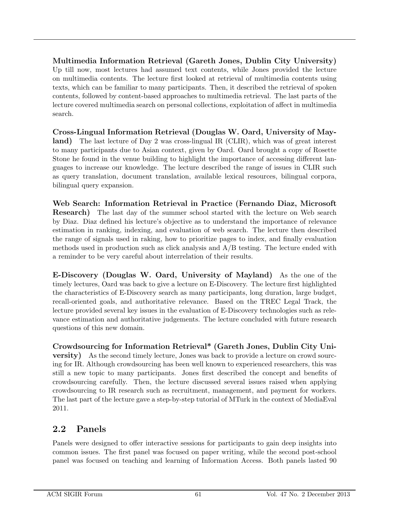Multimedia Information Retrieval (Gareth Jones, Dublin City University) Up till now, most lectures had assumed text contents, while Jones provided the lecture on multimedia contents. The lecture first looked at retrieval of multimedia contents using texts, which can be familiar to many participants. Then, it described the retrieval of spoken contents, followed by content-based approaches to multimedia retrieval. The last parts of the lecture covered multimedia search on personal collections, exploitation of affect in multimedia search.

Cross-Lingual Information Retrieval (Douglas W. Oard, University of Mayland) The last lecture of Day 2 was cross-lingual IR (CLIR), which was of great interest to many participants due to Asian context, given by Oard. Oard brought a copy of Rosette Stone he found in the venue building to highlight the importance of accessing different languages to increase our knowledge. The lecture described the range of issues in CLIR such as query translation, document translation, available lexical resources, bilingual corpora, bilingual query expansion.

Web Search: Information Retrieval in Practice (Fernando Diaz, Microsoft **Research**) The last day of the summer school started with the lecture on Web search by Diaz. Diaz defined his lecture's objective as to understand the importance of relevance estimation in ranking, indexing, and evaluation of web search. The lecture then described the range of signals used in raking, how to prioritize pages to index, and finally evaluation methods used in production such as click analysis and A/B testing. The lecture ended with a reminder to be very careful about interrelation of their results.

E-Discovery (Douglas W. Oard, University of Mayland) As the one of the timely lectures, Oard was back to give a lecture on E-Discovery. The lecture first highlighted the characteristics of E-Discovery search as many participants, long duration, large budget, recall-oriented goals, and authoritative relevance. Based on the TREC Legal Track, the lecture provided several key issues in the evaluation of E-Discovery technologies such as relevance estimation and authoritative judgements. The lecture concluded with future research questions of this new domain.

Crowdsourcing for Information Retrieval\* (Gareth Jones, Dublin City University) As the second timely lecture, Jones was back to provide a lecture on crowd sourcing for IR. Although crowdsourcing has been well known to experienced researchers, this was still a new topic to many participants. Jones first described the concept and benefits of crowdsourcing carefully. Then, the lecture discussed several issues raised when applying crowdsourcing to IR research such as recruitment, management, and payment for workers. The last part of the lecture gave a step-by-step tutorial of MTurk in the context of MediaEval 2011.

#### 2.2 Panels

Panels were designed to offer interactive sessions for participants to gain deep insights into common issues. The first panel was focused on paper writing, while the second post-school panel was focused on teaching and learning of Information Access. Both panels lasted 90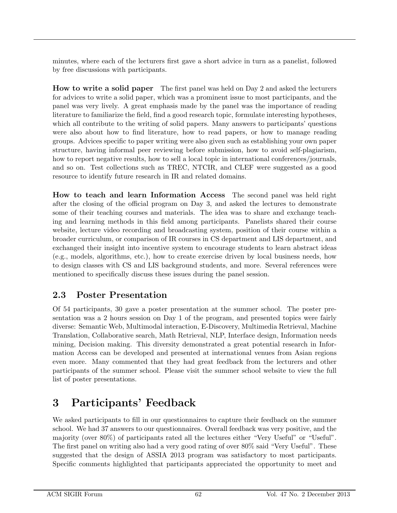minutes, where each of the lecturers first gave a short advice in turn as a panelist, followed by free discussions with participants.

How to write a solid paper The first panel was held on Day 2 and asked the lecturers for advices to write a solid paper, which was a prominent issue to most participants, and the panel was very lively. A great emphasis made by the panel was the importance of reading literature to familiarize the field, find a good research topic, formulate interesting hypotheses, which all contribute to the writing of solid papers. Many answers to participants' questions were also about how to find literature, how to read papers, or how to manage reading groups. Advices specific to paper writing were also given such as establishing your own paper structure, having informal peer reviewing before submission, how to avoid self-plagiarism, how to report negative results, how to sell a local topic in international conferences/journals, and so on. Test collections such as TREC, NTCIR, and CLEF were suggested as a good resource to identify future research in IR and related domains.

How to teach and learn Information Access The second panel was held right after the closing of the official program on Day 3, and asked the lectures to demonstrate some of their teaching courses and materials. The idea was to share and exchange teaching and learning methods in this field among participants. Panelists shared their course website, lecture video recording and broadcasting system, position of their course within a broader curriculum, or comparison of IR courses in CS department and LIS department, and exchanged their insight into incentive system to encourage students to learn abstract ideas (e.g., models, algorithms, etc.), how to create exercise driven by local business needs, how to design classes with CS and LIS background students, and more. Several references were mentioned to specifically discuss these issues during the panel session.

#### 2.3 Poster Presentation

Of 54 participants, 30 gave a poster presentation at the summer school. The poster presentation was a 2 hours session on Day 1 of the program, and presented topics were fairly diverse: Semantic Web, Multimodal interaction, E-Discovery, Multimedia Retrieval, Machine Translation, Collaborative search, Math Retrieval, NLP, Interface design, Information needs mining, Decision making. This diversity demonstrated a great potential research in Information Access can be developed and presented at international venues from Asian regions even more. Many commented that they had great feedback from the lecturers and other participants of the summer school. Please visit the summer school website to view the full list of poster presentations.

## 3 Participants' Feedback

We asked participants to fill in our questionnaires to capture their feedback on the summer school. We had 37 answers to our questionnaires. Overall feedback was very positive, and the majority (over 80%) of participants rated all the lectures either "Very Useful" or "Useful". The first panel on writing also had a very good rating of over 80% said "Very Useful". These suggested that the design of ASSIA 2013 program was satisfactory to most participants. Specific comments highlighted that participants appreciated the opportunity to meet and